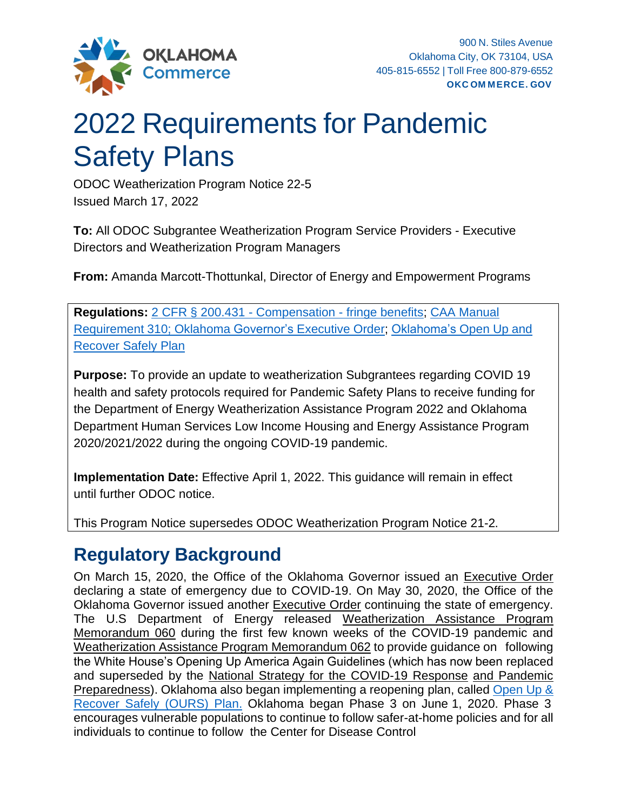

# 2022 Requirements for Pandemic Safety Plans

ODOC Weatherization Program Notice 22-5 Issued March 17, 2022

**To:** All ODOC Subgrantee Weatherization Program Service Providers - Executive Directors and Weatherization Program Managers

**From:** Amanda Marcott-Thottunkal, Director of Energy and Empowerment Programs

**Regulations:** [2 CFR § 200.431 -](https://www.law.cornell.edu/cfr/text/2/200.431) Compensation - fringe benefits; [CAA Manual](https://www.okcommerce.gov/assets/files/grants/CAA_Contractor_Implementation_Manual.pdf) [Requirement](https://www.okcommerce.gov/assets/files/grants/CAA_Contractor_Implementation_Manual.pdf) 310; Oklahoma [Governor's](https://www.sos.ok.gov/documents/executive/1946.pdf) Executive Order; [Oklahoma's](https://www.okcommerce.gov/wp-content/uploads/Open-Up-and-Recover-Safely-Plan.pdf) Open Up and [Recover Safely Plan](https://www.okcommerce.gov/wp-content/uploads/Open-Up-and-Recover-Safely-Plan.pdf)

**Purpose:** To provide an update to weatherization Subgrantees regarding COVID 19 health and safety protocols required for Pandemic Safety Plans to receive funding for the Department of Energy Weatherization Assistance Program 2022 and Oklahoma Department Human Services Low Income Housing and Energy Assistance Program 2020/2021/2022 during the ongoing COVID-19 pandemic.

**Implementation Date:** Effective April 1, 2022. This guidance will remain in effect until further ODOC notice.

This Program Notice supersedes ODOC Weatherization Program Notice 21-2.

## **Regulatory Background**

On March 15, 2020, the Office of the Oklahoma Governor issued an [Executive Order](https://www.sos.ok.gov/documents/executive/1943.pdf) declaring a state of emergency due to COVID-19. On May 30, 2020, the Office of the Oklahoma Governor issued another [Executive Order](https://www.sos.ok.gov/documents/executive/1946.pdf) continuing the state of emergency. The U.S Department of Energy released [Weatherization Assistance Program](https://www.energy.gov/eere/wap/downloads/wap-memorandum-060-weatherization-assistance-program-frequently-asked-questions) [Memorandum 060](https://www.energy.gov/eere/wap/downloads/wap-memorandum-060-weatherization-assistance-program-frequently-asked-questions) during the first few known weeks of the COVID-19 pandemic and [Weatherization Assistance Program Memorandum](https://www.energy.gov/sites/prod/files/2020/05/f75/wap-memo-062.pdf) 062 to provide guidance on following the White House's Opening Up America Again Guidelines (which has now been replaced and superseded [by the National Strategy for the COVID-19 Response](https://www.whitehouse.gov/wp-content/uploads/2021/01/National-Strategy-for-the-COVID-19-Response-and-Pandemic-Preparedness.pdf) [and Pandemic](https://www.whitehouse.gov/wp-content/uploads/2021/01/National-Strategy-for-the-COVID-19-Response-and-Pandemic-Preparedness.pdf) Preparedness). Oklahoma also began implementing a reopening [plan,](https://www.okcommerce.gov/wp-content/uploads/Open-Up-and-Recover-Safely-Plan.pdf) [called Open Up &](https://www.okcommerce.gov/wp-content/uploads/Open-Up-and-Recover-Safely-Plan.pdf) [Recover](https://www.okcommerce.gov/wp-content/uploads/Open-Up-and-Recover-Safely-Plan.pdf) Safely (OURS) Plan. Oklahoma began Phase 3 on June 1, 2020. Phase 3 encourages vulnerable populations to continue to follow safer-at-home policies and for all individuals to continue to follow the Center for Disease Control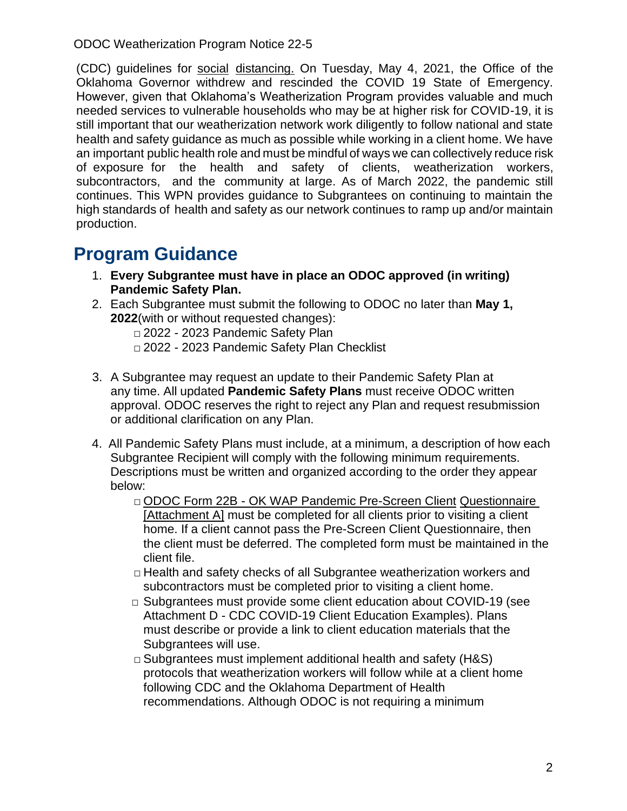ODOC Weatherization Program Notice 22-5

(CDC) guidelines for [social](https://www.cdc.gov/coronavirus/2019-ncov/prevent-getting-sick/social-distancing.html) [distancing.](https://www.cdc.gov/coronavirus/2019-ncov/prevent-getting-sick/social-distancing.html) On Tuesday, May 4, 2021, the Office of the Oklahoma Governor withdrew and rescinded the COVID 19 State of Emergency. However, given that Oklahoma's Weatherization Program provides valuable and much needed services to vulnerable households who may be at higher risk for COVID-19, it is still important that our weatherization network work diligently to follow national and state health and safety guidance as much as possible while working in a client home. We have an important public health role and must be mindful of ways we can collectively reduce risk of exposure for the health and safety of clients, weatherization workers, subcontractors, and the community at large. As of March 2022, the pandemic still continues. This WPN provides guidance to Subgrantees on continuing to maintain the high standards of health and safety as our network continues to ramp up and/or maintain production.

## **Program Guidance**

- 1. **Every Subgrantee must have in place an ODOC approved (in writing) Pandemic Safety Plan.**
- 2. Each Subgrantee must submit the following to ODOC no later than **May 1, 2022**(with or without requested changes):
	- □ 2022 2023 Pandemic Safety Plan □ 2022 - 2023 Pandemic Safety Plan Checklist
- 3. A Subgrantee may request an update to their Pandemic Safety Plan at any time. All updated **Pandemic Safety Plans** must receive ODOC written approval. ODOC reserves the right to reject any Plan and request resubmission or additional clarification on any Plan.
- 4. All Pandemic Safety Plans must include, at a minimum, a description of how each Subgrantee Recipient will comply with the following minimum requirements. Descriptions must be written and organized according to the order they appear below:
	- □ ODOC Form 22B OK WAP Pandemic Pre-Screen Client Questionnaire [Attachment A] must be completed for all clients prior to visiting a client home. If a client cannot pass the Pre-Screen Client Questionnaire, then the client must be deferred. The completed form must be maintained in the client file.
	- $\Box$  Health and safety checks of all Subgrantee weatherization workers and subcontractors must be completed prior to visiting a client home.
	- □ Subgrantees must provide some client education about COVID-19 (see Attachment D - CDC COVID-19 Client Education Examples). Plans must describe or provide a link to client education materials that the Subgrantees will use.
	- $\Box$  Subgrantees must implement additional health and safety (H&S) protocols that weatherization workers will follow while at a client home following CDC and the Oklahoma Department of Health recommendations. Although ODOC is not requiring a minimum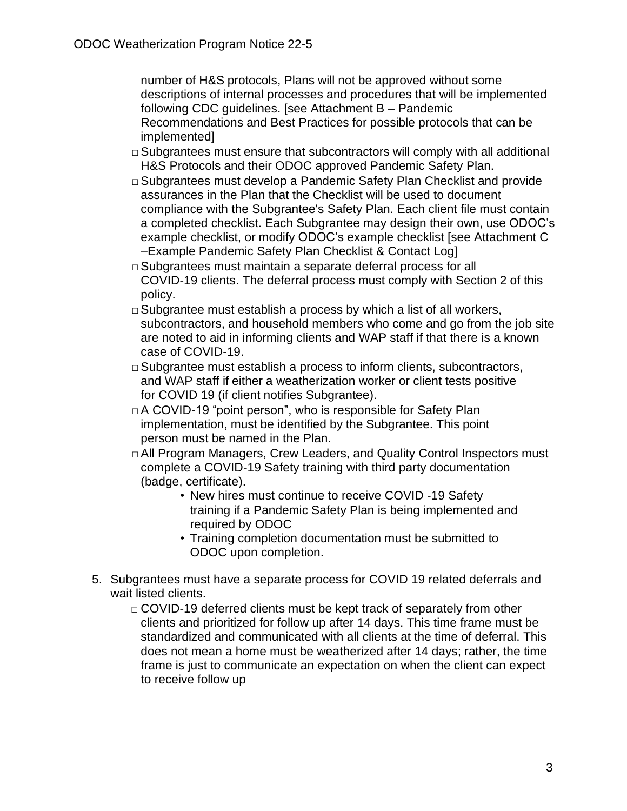number of H&S protocols, Plans will not be approved without some descriptions of internal processes and procedures that will be implemented following CDC guidelines. [see Attachment B – Pandemic Recommendations and Best Practices for possible protocols that can be implemented]

- $\Box$  Subgrantees must ensure that subcontractors will comply with all additional H&S Protocols and their ODOC approved Pandemic Safety Plan.
- □ Subgrantees must develop a Pandemic Safety Plan Checklist and provide assurances in the Plan that the Checklist will be used to document compliance with the Subgrantee's Safety Plan. Each client file must contain a completed checklist. Each Subgrantee may design their own, use ODOC's example checklist, or modify ODOC's example checklist [see Attachment C –Example Pandemic Safety Plan Checklist & Contact Log]
- □ Subgrantees must maintain a separate deferral process for all COVID-19 clients. The deferral process must comply with Section 2 of this policy.
- $\Box$  Subgrantee must establish a process by which a list of all workers, subcontractors, and household members who come and go from the job site are noted to aid in informing clients and WAP staff if that there is a known case of COVID-19.
- □ Subgrantee must establish a process to inform clients, subcontractors, and WAP staff if either a weatherization worker or client tests positive for COVID 19 (if client notifies Subgrantee).
- □A COVID-19 "point person", who is responsible for Safety Plan implementation, must be identified by the Subgrantee. This point person must be named in the Plan.
- □ All Program Managers, Crew Leaders, and Quality Control Inspectors must complete a COVID-19 Safety training with third party documentation (badge, certificate).
	- New hires must continue to receive COVID -19 Safety training if a Pandemic Safety Plan is being implemented and required by ODOC
	- Training completion documentation must be submitted to ODOC upon completion.
- 5. Subgrantees must have a separate process for COVID 19 related deferrals and wait listed clients.
	- □ COVID-19 deferred clients must be kept track of separately from other clients and prioritized for follow up after 14 days. This time frame must be standardized and communicated with all clients at the time of deferral. This does not mean a home must be weatherized after 14 days; rather, the time frame is just to communicate an expectation on when the client can expect to receive follow up